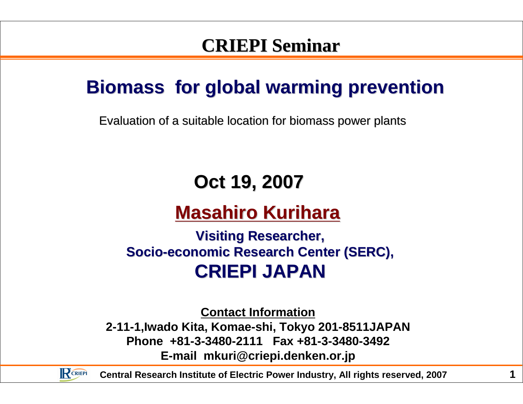### **CRIEPI Seminar**

### **Biomass for global warming prevention**

Evaluation of a suitable location for biomass power plants

## **Oct 19, 2007**

## **Masahiro Kurihara**

#### **Visiting Researcher,Socio-economic Research Center (SERC),CRIEPI JAPAN**

**Contact Information**

 **2-11-1,Iwado Kita, Komae-shi, Tokyo 201-8511JAPANPhone +81-3-3480-2111 Fax +81-3-3480-3492E-mail mkuri@criepi.denken.or.jp**



**Central Research Institute of Electric Power Industry, All rights reserved, 2007**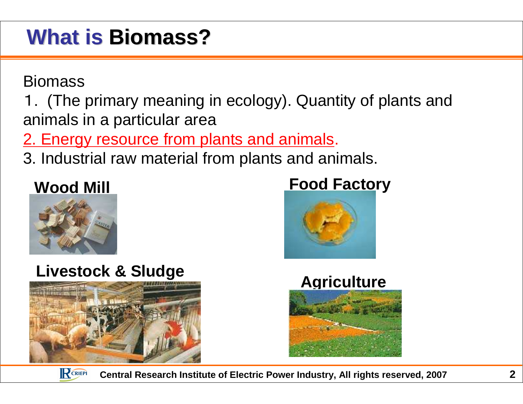## **What is Biomass?**

**Biomass** 

 1. (The primary meaning in ecology). Quantity of plants and animals in a particular area

2. Energy resource from plants and animals.

3. Industrial raw material from plants and animals.

#### **Wood Mill**



#### **Livestock & Sludge**













**Central Research Institute of Electric Power Industry, All rights reserved, 2007**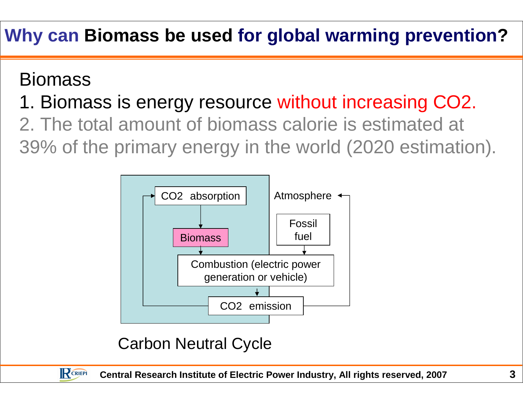## **Why can Biomass be used for global warming prevention?**

#### Biomass

RCRIEPI

# 1. Biomass is energy resource without increasing CO2.

### 2. The total amount of biomass calorie is estimated at 39% of the primary energy in the world (2020 estimation).



#### Carbon Neutral Cycle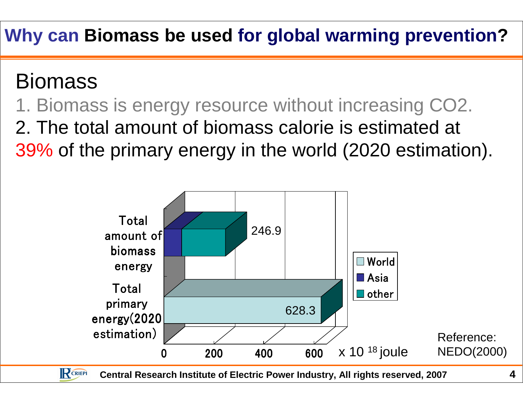## **Why can Biomass be used for global warming prevention?**

## Biomass

## 1. Biomass is energy resource without increasing CO2.2. The total amount of biomass calorie is estimated at 39% of the primary energy in the world (2020 estimation).

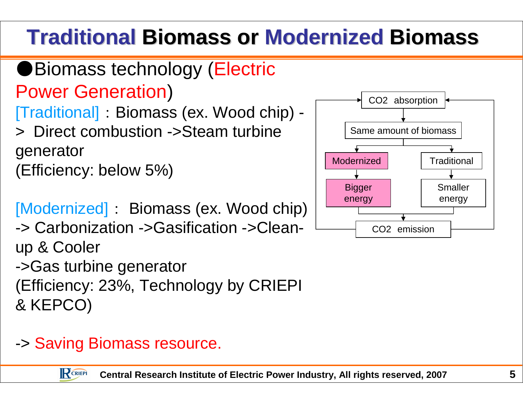# **Traditional Biomass or Modernized Biomass**

●Biomass technology (Electric Power Generation)

[Traditional]:Biomass (ex. Wood chip) -

> Direct combustion ->Steam turbinegenerator (Efficiency: below 5%)

```
[Modernized]: Biomass (ex. Wood chip)<br>-> Carbonization ->Gasification ->Clean-
```
-> Carbonization ->Gasification ->Cleanup & Cooler ->Gas turbine generator

(Efficiency: 23%, Technology by CRIEPI & KEPCO)

#### -> Saving Biomass resource.

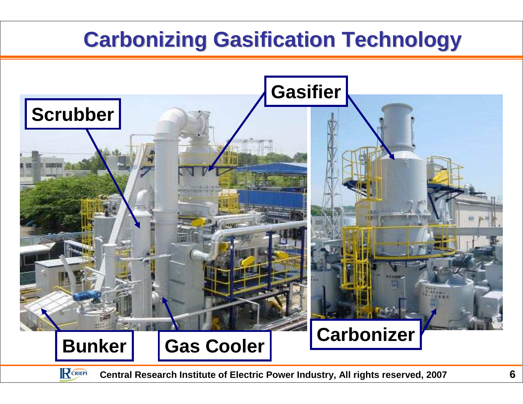## **Carbonizing Gasification Technology**





**Central Research Institute of Electric Power Industry, All rights reserved, 2007**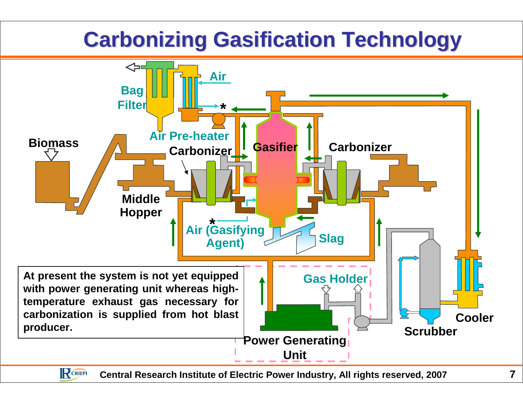## **Carbonizing Gasification Technology**



RCRIEPI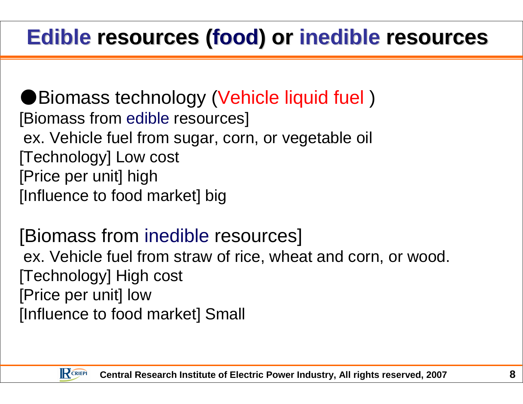# **Edible resources (food) or inedible resources**

●Biomass technology (Vehicle liquid fuel) [Biomass from edible resources] ex. Vehicle fuel from sugar, corn, or vegetable oil[Technology] Low cost[Price per unit] high[Influence to food market] big

# [Biomass from inedible resources]

ex. Vehicle fuel from straw of rice, wheat and corn, or wood.[Technology] High cost[Price per unit] low[Influence to food market] Small

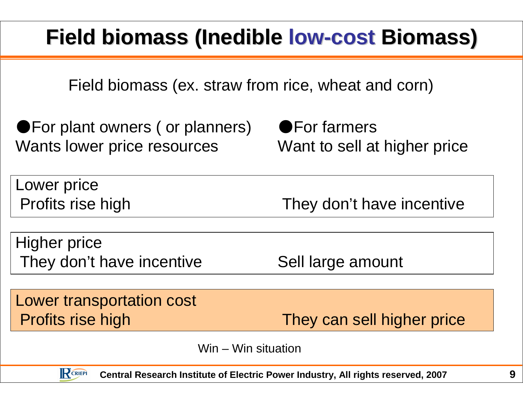# **Field biomass (Inedible low-cost Biomass)**

Field biomass (ex. straw from rice, wheat and corn)

●For plant owners ( or planners) Wants lower price resources

RCRIEPI

●For farmers Want to sell at higher price

| Lower price               |                            |
|---------------------------|----------------------------|
| Profits rise high         | They don't have incentive  |
|                           |                            |
| Higher price              |                            |
| They don't have incentive | Sell large amount          |
|                           |                            |
| Lower transportation cost |                            |
| Profits rise high         | They can sell higher price |

Win – Win situation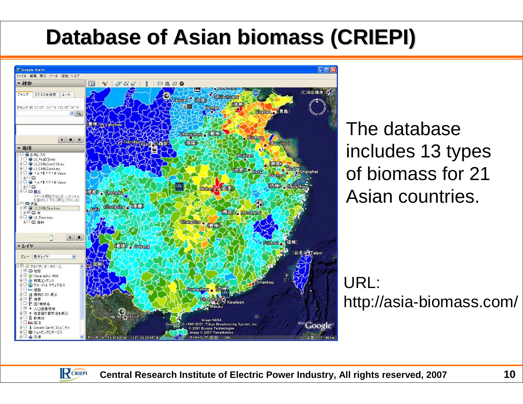## **Database of Asian biomass (CRIEPI)**



The database includes 13 types of biomass for 21 Asian countries.

URL:http://asia-biomass.com/

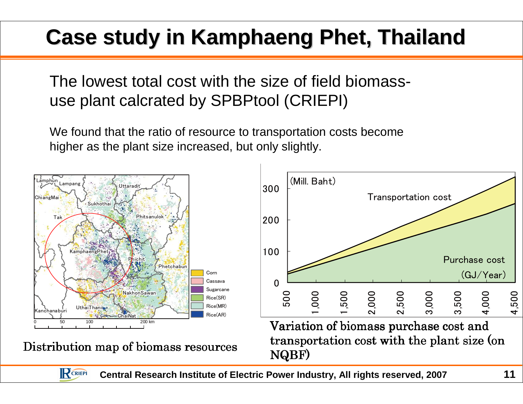# **Case study in Kamphaeng Phet, Thailand**

The lowest total cost with the size of field biomassuse plant calcrated by SPBPtool (CRIEPI)

We found that the ratio of resource to transportation costs become higher as the plant size increased, but only slightly.



RCRIEPI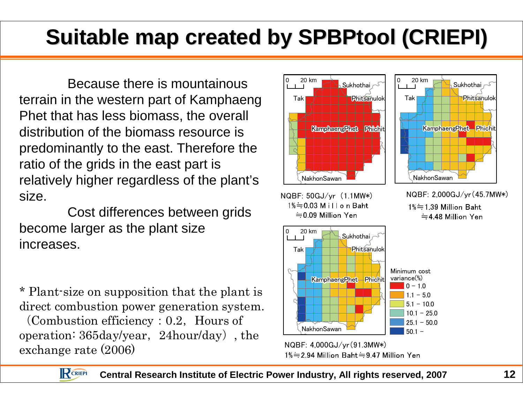# **Suitable map created by SPBPtool (CRIEPI)**

Because there is mountainous terrain in the western part of KamphaengPhet that has less biomass, the overall distribution of the biomass resource is predominantly to the east. Therefore the ratio of the grids in the east part is relatively higher regardless of the plant's size.

Cost differences between grids become larger as the plant size increases.

\* Plant-size on supposition that the plant is direct combustion power generation system.

(Combustion efficiency:  $0.2$ , Hours of operation: 365day/year,24hour/day), the exchange rate (2006)



 $= 0.09$  Million Yen



NQBF: 50GJ/yr (1.1MW\*) NQBF: 2,000GJ/yr (45.7MW\*)<br> $1\% = 0.03$  M i I I o n Baht  $1\% = 1.39$  Million Baht  $1\% \doteq 1.39$  Million Baht  $=$  4.48 Million Yen



NQBF: 4,000GJ/yr(91.3MW\*)<br> $1\% = 2.94$  Million Baht $= 9.47$  Million Yen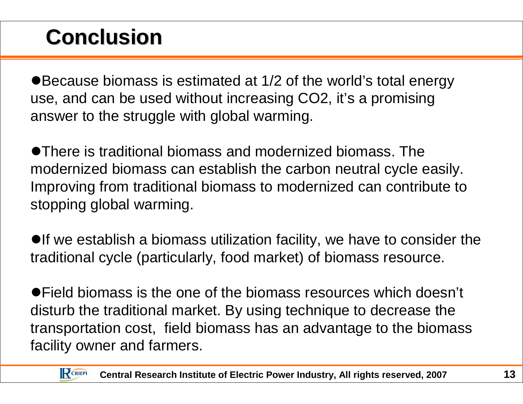## **Conclusion**

Because biomass is estimated at 1/2 of the world's total energy use, and can be used without increasing CO2, it's a promising answer to the struggle with global warming.

There is traditional biomass and modernized biomass. The modernized biomass can establish the carbon neutral cycle easily. Improving from traditional biomass to modernized can contribute to stopping global warming.

 $\bullet$  If we establish a biomass utilization facility, we have to consider the traditional cycle (particularly, food market) of biomass resource.

Field biomass is the one of the biomass resources which doesn't disturb the traditional market. By using technique to decrease the transportation cost, field biomass has an advantage to the biomass facility owner and farmers.